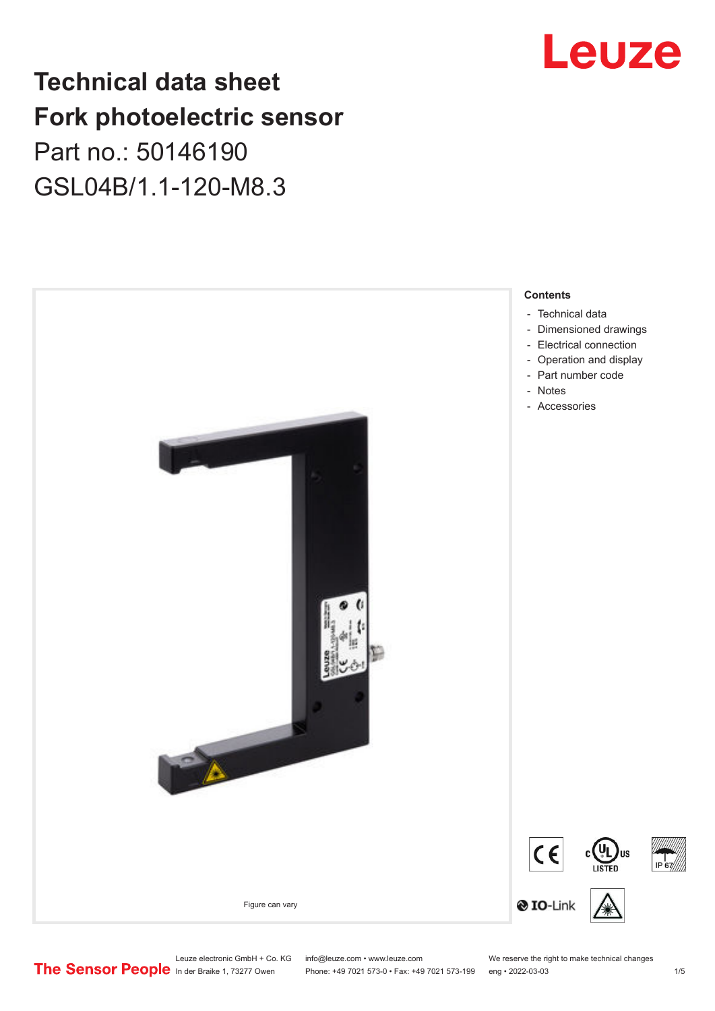## **Technical data sheet Fork photoelectric sensor** Part no.: 50146190 GSL04B/1.1-120-M8.3



## Leuze

Leuze electronic GmbH + Co. KG info@leuze.com • www.leuze.com We reserve the right to make technical changes<br>
The Sensor People in der Braike 1, 73277 Owen Phone: +49 7021 573-0 • Fax: +49 7021 573-199 eng • 2022-03-03

Phone: +49 7021 573-0 • Fax: +49 7021 573-199 eng • 2022-03-03 1 75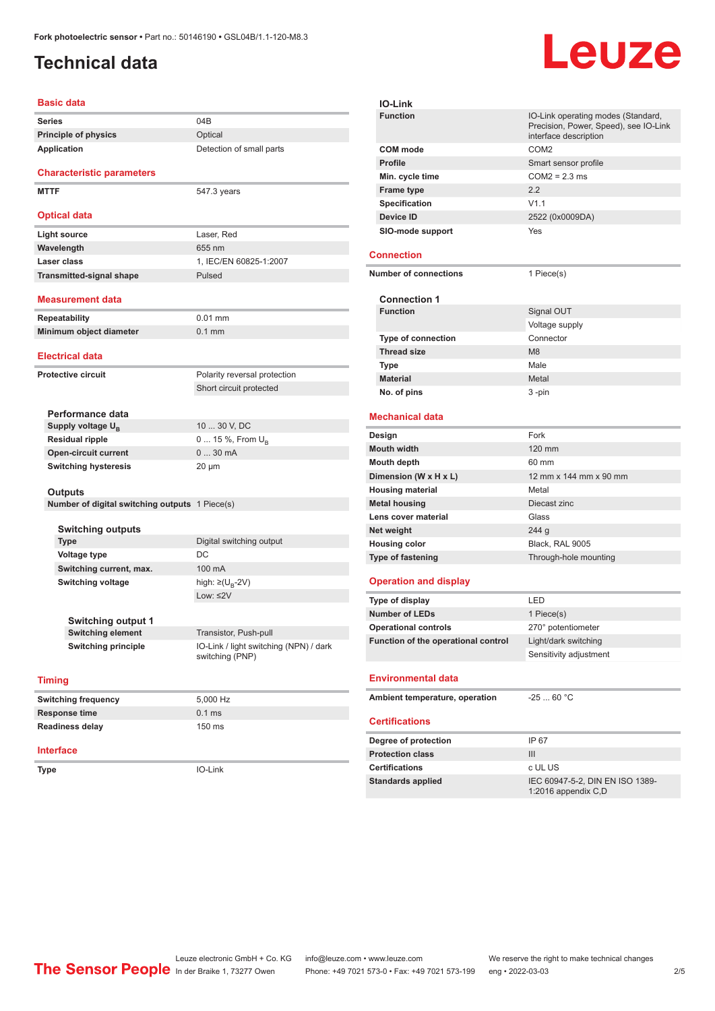## <span id="page-1-0"></span>**Technical data**

# **Leuze**

| Basic data                                     |                                                           |  |
|------------------------------------------------|-----------------------------------------------------------|--|
| Series                                         | 04B                                                       |  |
| <b>Principle of physics</b>                    | Optical                                                   |  |
| <b>Application</b>                             | Detection of small parts                                  |  |
| <b>Characteristic parameters</b>               |                                                           |  |
| <b>MTTF</b>                                    | 547.3 years                                               |  |
| Optical data                                   |                                                           |  |
| Light source                                   | Laser, Red                                                |  |
| Wavelength                                     | 655 nm                                                    |  |
| Laser class                                    | 1, IEC/EN 60825-1:2007                                    |  |
| <b>Transmitted-signal shape</b>                | Pulsed                                                    |  |
| Measurement data                               |                                                           |  |
| Repeatability                                  | $0.01$ mm                                                 |  |
| Minimum object diameter                        | $0.1$ mm                                                  |  |
| <b>Electrical data</b>                         |                                                           |  |
| <b>Protective circuit</b>                      | Polarity reversal protection                              |  |
|                                                | Short circuit protected                                   |  |
|                                                |                                                           |  |
| Performance data                               |                                                           |  |
| Supply voltage $U_{B}$                         | 10  30 V, DC                                              |  |
| <b>Residual ripple</b>                         | 0  15 %, From $U_{\rm B}$<br>030mA                        |  |
| <b>Open-circuit current</b>                    |                                                           |  |
| <b>Switching hysteresis</b>                    | 20 µm                                                     |  |
| <b>Outputs</b>                                 |                                                           |  |
| Number of digital switching outputs 1 Piece(s) |                                                           |  |
|                                                |                                                           |  |
| <b>Switching outputs</b>                       |                                                           |  |
| Type                                           | Digital switching output                                  |  |
| <b>Voltage type</b>                            | DC                                                        |  |
| Switching current, max.                        | 100 mA                                                    |  |
| <b>Switching voltage</b>                       | high: $\geq (U_{B} - 2V)$                                 |  |
|                                                | Low: $\leq$ 2V                                            |  |
| Switching output 1                             |                                                           |  |
| <b>Switching element</b>                       | Transistor, Push-pull                                     |  |
| <b>Switching principle</b>                     | IO-Link / light switching (NPN) / dark<br>switching (PNP) |  |
| <b>Timing</b>                                  |                                                           |  |
| <b>Switching frequency</b>                     | 5,000 Hz                                                  |  |
| <b>Response time</b>                           | $0.1$ ms                                                  |  |
| <b>Readiness delay</b>                         | 150 ms                                                    |  |
| Interface                                      |                                                           |  |
| Type                                           | IO-Link                                                   |  |
|                                                |                                                           |  |
|                                                |                                                           |  |

|                              | <b>IO-Link</b>                      |                                                                                                      |  |  |  |
|------------------------------|-------------------------------------|------------------------------------------------------------------------------------------------------|--|--|--|
|                              | <b>Function</b>                     | IO-Link operating modes (Standard,<br>Precision, Power, Speed), see IO-Link<br>interface description |  |  |  |
|                              | <b>COM</b> mode                     | COM <sub>2</sub>                                                                                     |  |  |  |
|                              | Profile                             | Smart sensor profile                                                                                 |  |  |  |
|                              | Min. cycle time                     | $COM2 = 2.3$ ms                                                                                      |  |  |  |
|                              | <b>Frame type</b>                   | 2.2                                                                                                  |  |  |  |
|                              | <b>Specification</b>                | V1.1                                                                                                 |  |  |  |
|                              | Device ID                           | 2522 (0x0009DA)                                                                                      |  |  |  |
|                              | SIO-mode support                    | Yes                                                                                                  |  |  |  |
|                              | <b>Connection</b>                   |                                                                                                      |  |  |  |
| <b>Number of connections</b> |                                     | 1 Piece(s)                                                                                           |  |  |  |
|                              | <b>Connection 1</b>                 |                                                                                                      |  |  |  |
|                              | <b>Function</b>                     | Signal OUT                                                                                           |  |  |  |
|                              |                                     | Voltage supply                                                                                       |  |  |  |
|                              | <b>Type of connection</b>           | Connector                                                                                            |  |  |  |
|                              | <b>Thread size</b>                  | M <sub>8</sub>                                                                                       |  |  |  |
|                              | Type                                | Male                                                                                                 |  |  |  |
|                              | <b>Material</b>                     | Metal                                                                                                |  |  |  |
|                              | No. of pins                         | 3-pin                                                                                                |  |  |  |
|                              | <b>Mechanical data</b>              |                                                                                                      |  |  |  |
|                              | Design                              | Fork                                                                                                 |  |  |  |
|                              | <b>Mouth width</b>                  | 120 mm                                                                                               |  |  |  |
|                              | Mouth depth                         | 60 mm                                                                                                |  |  |  |
| Dimension (W x H x L)        |                                     | 12 mm x 144 mm x 90 mm                                                                               |  |  |  |
| <b>Housing material</b>      |                                     | Metal                                                                                                |  |  |  |
| <b>Metal housing</b>         |                                     | Diecast zinc                                                                                         |  |  |  |
|                              | Lens cover material                 | Glass                                                                                                |  |  |  |
|                              | Net weight                          | 244 g                                                                                                |  |  |  |
|                              | <b>Housing color</b>                | Black, RAL 9005                                                                                      |  |  |  |
|                              | Type of fastening                   | Through-hole mounting                                                                                |  |  |  |
|                              | <b>Operation and display</b>        |                                                                                                      |  |  |  |
|                              | Type of display                     | LED                                                                                                  |  |  |  |
|                              | <b>Number of LEDs</b>               | 1 Piece(s)                                                                                           |  |  |  |
|                              | <b>Operational controls</b>         | 270° potentiometer                                                                                   |  |  |  |
|                              | Function of the operational control | Light/dark switching                                                                                 |  |  |  |
|                              |                                     | Sensitivity adjustment                                                                               |  |  |  |
|                              | <b>Environmental data</b>           |                                                                                                      |  |  |  |
|                              | Ambient temperature, operation      | $-2560 °C$                                                                                           |  |  |  |
|                              | <b>Certifications</b>               |                                                                                                      |  |  |  |
|                              | Degree of protection                | IP 67                                                                                                |  |  |  |
|                              | <b>Protection class</b>             | III                                                                                                  |  |  |  |
|                              | <b>Certifications</b>               | c UL US                                                                                              |  |  |  |
|                              |                                     | IEC 60947-5-2, DIN EN ISO 1389-                                                                      |  |  |  |
| <b>Standards applied</b>     |                                     | 1:2016 appendix C,D                                                                                  |  |  |  |
|                              |                                     |                                                                                                      |  |  |  |

Leuze electronic GmbH + Co. KG info@leuze.com • www.leuze.com We reserve the right to make technical changes<br>
The Sensor People in der Braike 1, 73277 Owen Phone: +49 7021 573-0 • Fax: +49 7021 573-199 eng • 2022-03-03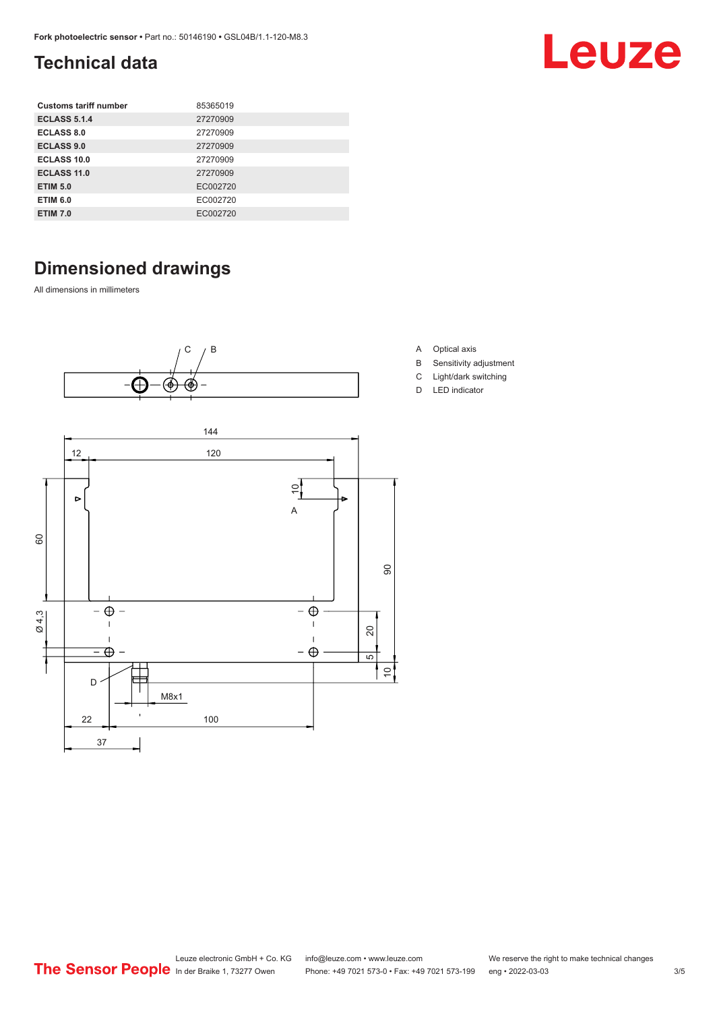## <span id="page-2-0"></span>**Technical data**

| <b>Customs tariff number</b> | 85365019 |
|------------------------------|----------|
| <b>ECLASS 5.1.4</b>          | 27270909 |
| <b>ECLASS 8.0</b>            | 27270909 |
| <b>ECLASS 9.0</b>            | 27270909 |
| ECLASS 10.0                  | 27270909 |
| <b>ECLASS 11.0</b>           | 27270909 |
| <b>ETIM 5.0</b>              | EC002720 |
| <b>ETIM 6.0</b>              | EC002720 |
| <b>ETIM 7.0</b>              | EC002720 |

## **Dimensioned drawings**

All dimensions in millimeters





- A Optical axis
- B Sensitivity adjustment

Leuze

- C Light/dark switching
- D LED indicator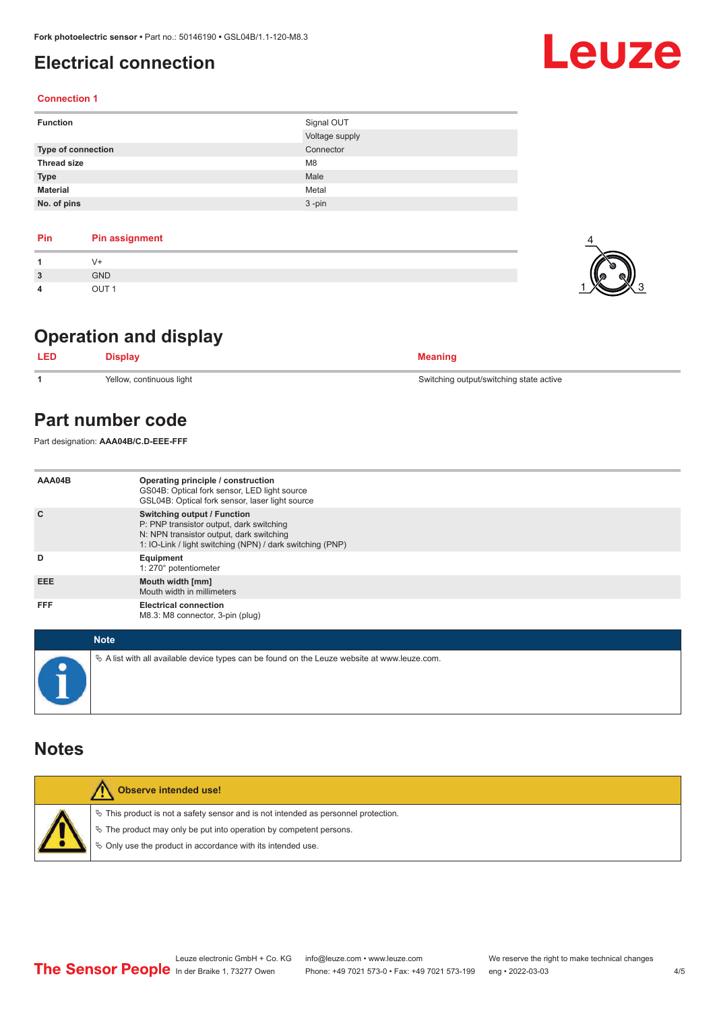## <span id="page-3-0"></span>**Electrical connection**

### **Connection 1**

| <b>Function</b>           | Signal OUT     |
|---------------------------|----------------|
|                           | Voltage supply |
| <b>Type of connection</b> | Connector      |
| <b>Thread size</b>        | M <sub>8</sub> |
| <b>Type</b>               | Male           |
| <b>Material</b>           | Metal          |
| No. of pins               | $3 - pin$      |

| Pin | <b>Pin assignment</b> |
|-----|-----------------------|
|     | V+                    |
| 3   | <b>GND</b>            |
| 4   | OUT <sub>1</sub>      |

## **Operation and display**

| <b>LED</b> | Displav                  | Meaning                                 |
|------------|--------------------------|-----------------------------------------|
|            | Yellow, continuous light | Switching output/switching state active |

## **Part number code**

Part designation: **AAA04B/C.D-EEE-FFF**

| AAA04B     | Operating principle / construction<br>GS04B: Optical fork sensor, LED light source<br>GSL04B: Optical fork sensor, laser light source                                                   |
|------------|-----------------------------------------------------------------------------------------------------------------------------------------------------------------------------------------|
| C          | <b>Switching output / Function</b><br>P: PNP transistor output, dark switching<br>N: NPN transistor output, dark switching<br>1: IO-Link / light switching (NPN) / dark switching (PNP) |
| D          | Equipment<br>1: 270° potentiometer                                                                                                                                                      |
| <b>EEE</b> | Mouth width [mm]<br>Mouth width in millimeters                                                                                                                                          |
| <b>FFF</b> | <b>Electrical connection</b><br>M8.3: M8 connector, 3-pin (plug)                                                                                                                        |

| <b>Note</b>                                                                                     |
|-------------------------------------------------------------------------------------------------|
| $\&$ A list with all available device types can be found on the Leuze website at www.leuze.com. |

## **Notes**

| <b>Observe intended use!</b>                                                          |
|---------------------------------------------------------------------------------------|
| $\%$ This product is not a safety sensor and is not intended as personnel protection. |
| § The product may only be put into operation by competent persons.                    |
| ♦ Only use the product in accordance with its intended use.                           |
|                                                                                       |